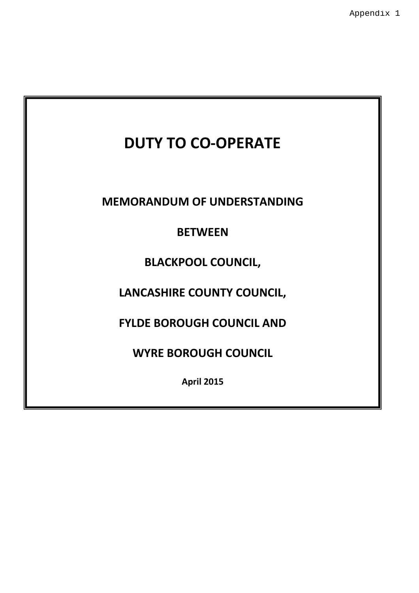# **DUTY TO CO-OPERATE**

**MEMORANDUM OF UNDERSTANDING**

# **BETWEEN**

# **BLACKPOOL COUNCIL,**

# **LANCASHIRE COUNTY COUNCIL,**

# **FYLDE BOROUGH COUNCIL AND**

## **WYRE BOROUGH COUNCIL**

**April 2015**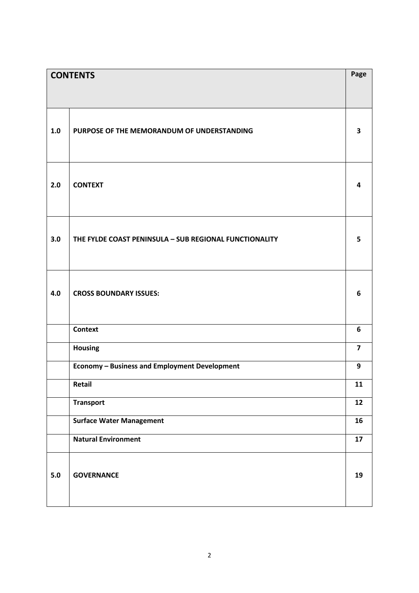| <b>CONTENTS</b> |                                                        | Page                    |
|-----------------|--------------------------------------------------------|-------------------------|
|                 |                                                        |                         |
|                 |                                                        |                         |
| 1.0             | PURPOSE OF THE MEMORANDUM OF UNDERSTANDING             | $\overline{\mathbf{3}}$ |
| 2.0             | <b>CONTEXT</b>                                         | 4                       |
| 3.0             | THE FYLDE COAST PENINSULA - SUB REGIONAL FUNCTIONALITY | 5                       |
| 4.0             | <b>CROSS BOUNDARY ISSUES:</b>                          | 6                       |
|                 | <b>Context</b>                                         | 6                       |
|                 | Housing                                                | $\overline{\mathbf{z}}$ |
|                 | <b>Economy - Business and Employment Development</b>   | 9                       |
|                 | Retail                                                 | 11                      |
|                 | <b>Transport</b>                                       | 12                      |
|                 | <b>Surface Water Management</b>                        | 16                      |
|                 | <b>Natural Environment</b>                             | 17                      |
| $5.0$           | <b>GOVERNANCE</b>                                      | 19                      |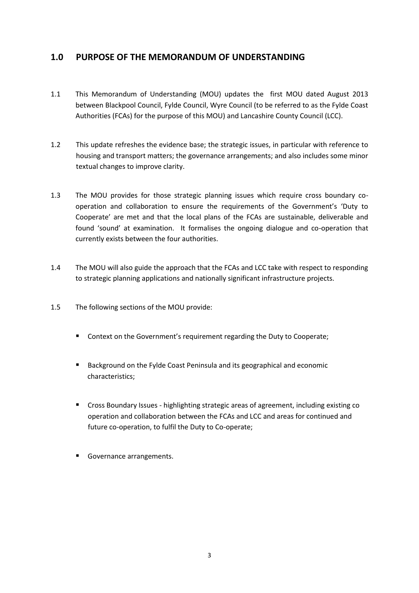### **1.0 PURPOSE OF THE MEMORANDUM OF UNDERSTANDING**

- 1.1 This Memorandum of Understanding (MOU) updates the first MOU dated August 2013 between Blackpool Council, Fylde Council, Wyre Council (to be referred to as the Fylde Coast Authorities (FCAs) for the purpose of this MOU) and Lancashire County Council (LCC).
- 1.2 This update refreshes the evidence base; the strategic issues, in particular with reference to housing and transport matters; the governance arrangements; and also includes some minor textual changes to improve clarity.
- 1.3 The MOU provides for those strategic planning issues which require cross boundary cooperation and collaboration to ensure the requirements of the Government's 'Duty to Cooperate' are met and that the local plans of the FCAs are sustainable, deliverable and found 'sound' at examination. It formalises the ongoing dialogue and co-operation that currently exists between the four authorities.
- 1.4 The MOU will also guide the approach that the FCAs and LCC take with respect to responding to strategic planning applications and nationally significant infrastructure projects.
- 1.5 The following sections of the MOU provide:
	- Context on the Government's requirement regarding the Duty to Cooperate;
	- Background on the Fylde Coast Peninsula and its geographical and economic characteristics;
	- Cross Boundary Issues highlighting strategic areas of agreement, including existing co operation and collaboration between the FCAs and LCC and areas for continued and future co-operation, to fulfil the Duty to Co-operate;
	- Governance arrangements.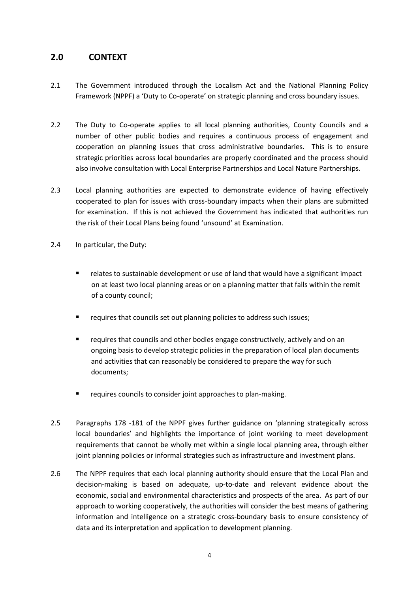### **2.0 CONTEXT**

- 2.1 The Government introduced through the Localism Act and the National Planning Policy Framework (NPPF) a 'Duty to Co-operate' on strategic planning and cross boundary issues.
- 2.2 The Duty to Co-operate applies to all local planning authorities, County Councils and a number of other public bodies and requires a continuous process of engagement and cooperation on planning issues that cross administrative boundaries. This is to ensure strategic priorities across local boundaries are properly coordinated and the process should also involve consultation with Local Enterprise Partnerships and Local Nature Partnerships.
- 2.3 Local planning authorities are expected to demonstrate evidence of having effectively cooperated to plan for issues with cross-boundary impacts when their plans are submitted for examination. If this is not achieved the Government has indicated that authorities run the risk of their Local Plans being found 'unsound' at Examination.
- 2.4 In particular, the Duty:
	- relates to sustainable development or use of land that would have a significant impact on at least two local planning areas or on a planning matter that falls within the remit of a county council;
	- requires that councils set out planning policies to address such issues;
	- **F** requires that councils and other bodies engage constructively, actively and on an ongoing basis to develop strategic policies in the preparation of local plan documents and activities that can reasonably be considered to prepare the way for such documents;
	- requires councils to consider joint approaches to plan-making.
- 2.5 Paragraphs 178 -181 of the NPPF gives further guidance on 'planning strategically across local boundaries' and highlights the importance of joint working to meet development requirements that cannot be wholly met within a single local planning area, through either joint planning policies or informal strategies such as infrastructure and investment plans.
- 2.6 The NPPF requires that each local planning authority should ensure that the Local Plan and decision-making is based on adequate, up-to-date and relevant evidence about the economic, social and environmental characteristics and prospects of the area. As part of our approach to working cooperatively, the authorities will consider the best means of gathering information and intelligence on a strategic cross-boundary basis to ensure consistency of data and its interpretation and application to development planning.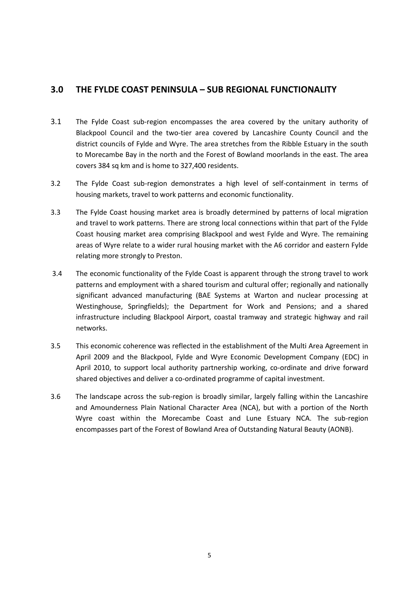### **3.0 THE FYLDE COAST PENINSULA – SUB REGIONAL FUNCTIONALITY**

- 3.1 The Fylde Coast sub-region encompasses the area covered by the unitary authority of Blackpool Council and the two-tier area covered by Lancashire County Council and the district councils of Fylde and Wyre. The area stretches from the Ribble Estuary in the south to Morecambe Bay in the north and the Forest of Bowland moorlands in the east. The area covers 384 sq km and is home to 327,400 residents.
- 3.2 The Fylde Coast sub-region demonstrates a high level of self-containment in terms of housing markets, travel to work patterns and economic functionality.
- 3.3 The Fylde Coast housing market area is broadly determined by patterns of local migration and travel to work patterns. There are strong local connections within that part of the Fylde Coast housing market area comprising Blackpool and west Fylde and Wyre. The remaining areas of Wyre relate to a wider rural housing market with the A6 corridor and eastern Fylde relating more strongly to Preston.
- 3.4 The economic functionality of the Fylde Coast is apparent through the strong travel to work patterns and employment with a shared tourism and cultural offer; regionally and nationally significant advanced manufacturing (BAE Systems at Warton and nuclear processing at Westinghouse, Springfields); the Department for Work and Pensions; and a shared infrastructure including Blackpool Airport, coastal tramway and strategic highway and rail networks.
- 3.5 This economic coherence was reflected in the establishment of the Multi Area Agreement in April 2009 and the Blackpool, Fylde and Wyre Economic Development Company (EDC) in April 2010, to support local authority partnership working, co-ordinate and drive forward shared objectives and deliver a co-ordinated programme of capital investment.
- 3.6 The landscape across the sub-region is broadly similar, largely falling within the Lancashire and Amounderness Plain National Character Area (NCA), but with a portion of the North Wyre coast within the Morecambe Coast and Lune Estuary NCA. The sub-region encompasses part of the Forest of Bowland Area of Outstanding Natural Beauty (AONB).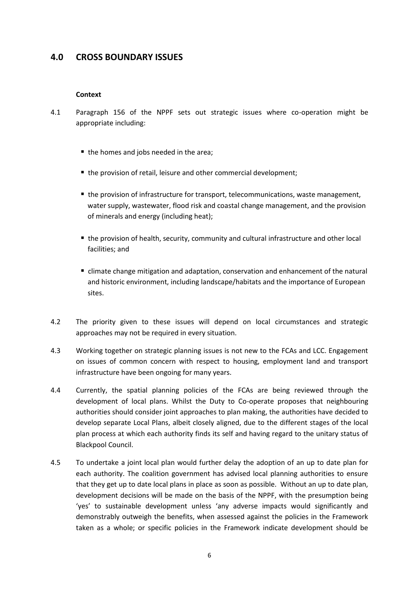### **4.0 CROSS BOUNDARY ISSUES**

#### **Context**

- 4.1 Paragraph 156 of the NPPF sets out strategic issues where co-operation might be appropriate including:
	- the homes and jobs needed in the area;
	- the provision of retail, leisure and other commercial development;
	- the provision of infrastructure for transport, telecommunications, waste management, water supply, wastewater, flood risk and coastal change management, and the provision of minerals and energy (including heat);
	- the provision of health, security, community and cultural infrastructure and other local facilities; and
	- climate change mitigation and adaptation, conservation and enhancement of the natural and historic environment, including landscape/habitats and the importance of European sites.
- 4.2 The priority given to these issues will depend on local circumstances and strategic approaches may not be required in every situation.
- 4.3 Working together on strategic planning issues is not new to the FCAs and LCC. Engagement on issues of common concern with respect to housing, employment land and transport infrastructure have been ongoing for many years.
- 4.4 Currently, the spatial planning policies of the FCAs are being reviewed through the development of local plans. Whilst the Duty to Co-operate proposes that neighbouring authorities should consider joint approaches to plan making, the authorities have decided to develop separate Local Plans, albeit closely aligned, due to the different stages of the local plan process at which each authority finds its self and having regard to the unitary status of Blackpool Council.
- 4.5 To undertake a joint local plan would further delay the adoption of an up to date plan for each authority. The coalition government has advised local planning authorities to ensure that they get up to date local plans in place as soon as possible. Without an up to date plan, development decisions will be made on the basis of the NPPF, with the presumption being 'yes' to sustainable development unless 'any adverse impacts would significantly and demonstrably outweigh the benefits, when assessed against the policies in the Framework taken as a whole; or specific policies in the Framework indicate development should be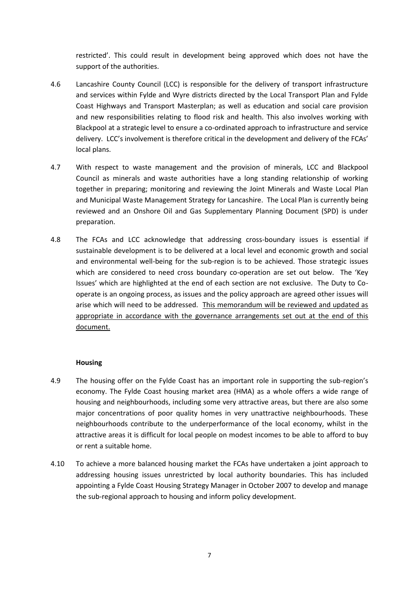restricted'. This could result in development being approved which does not have the support of the authorities.

- 4.6 Lancashire County Council (LCC) is responsible for the delivery of transport infrastructure and services within Fylde and Wyre districts directed by the Local Transport Plan and Fylde Coast Highways and Transport Masterplan; as well as education and social care provision and new responsibilities relating to flood risk and health. This also involves working with Blackpool at a strategic level to ensure a co-ordinated approach to infrastructure and service delivery. LCC's involvement is therefore critical in the development and delivery of the FCAs' local plans.
- 4.7 With respect to waste management and the provision of minerals, LCC and Blackpool Council as minerals and waste authorities have a long standing relationship of working together in preparing; monitoring and reviewing the Joint Minerals and Waste Local Plan and Municipal Waste Management Strategy for Lancashire. The Local Plan is currently being reviewed and an Onshore Oil and Gas Supplementary Planning Document (SPD) is under preparation.
- 4.8 The FCAs and LCC acknowledge that addressing cross-boundary issues is essential if sustainable development is to be delivered at a local level and economic growth and social and environmental well-being for the sub-region is to be achieved. Those strategic issues which are considered to need cross boundary co-operation are set out below. The 'Key Issues' which are highlighted at the end of each section are not exclusive. The Duty to Cooperate is an ongoing process, as issues and the policy approach are agreed other issues will arise which will need to be addressed. This memorandum will be reviewed and updated as appropriate in accordance with the governance arrangements set out at the end of this document.

#### **Housing**

- 4.9 The housing offer on the Fylde Coast has an important role in supporting the sub-region's economy. The Fylde Coast housing market area (HMA) as a whole offers a wide range of housing and neighbourhoods, including some very attractive areas, but there are also some major concentrations of poor quality homes in very unattractive neighbourhoods. These neighbourhoods contribute to the underperformance of the local economy, whilst in the attractive areas it is difficult for local people on modest incomes to be able to afford to buy or rent a suitable home.
- 4.10 To achieve a more balanced housing market the FCAs have undertaken a joint approach to addressing housing issues unrestricted by local authority boundaries. This has included appointing a Fylde Coast Housing Strategy Manager in October 2007 to develop and manage the sub-regional approach to housing and inform policy development.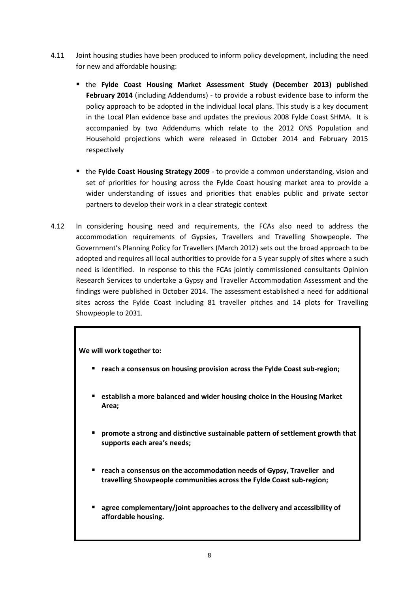- 4.11 Joint housing studies have been produced to inform policy development, including the need for new and affordable housing:
	- the **Fylde Coast Housing Market Assessment Study (December 2013) published February 2014** (including Addendums) - to provide a robust evidence base to inform the policy approach to be adopted in the individual local plans. This study is a key document in the Local Plan evidence base and updates the previous 2008 Fylde Coast SHMA. It is accompanied by two Addendums which relate to the 2012 ONS Population and Household projections which were released in October 2014 and February 2015 respectively
	- the **Fylde Coast Housing Strategy 2009** to provide a common understanding, vision and set of priorities for housing across the Fylde Coast housing market area to provide a wider understanding of issues and priorities that enables public and private sector partners to develop their work in a clear strategic context
- 4.12 In considering housing need and requirements, the FCAs also need to address the accommodation requirements of Gypsies, Travellers and Travelling Showpeople. The Government's Planning Policy for Travellers (March 2012) sets out the broad approach to be adopted and requires all local authorities to provide for a 5 year supply of sites where a such need is identified. In response to this the FCAs jointly commissioned consultants Opinion Research Services to undertake a Gypsy and Traveller Accommodation Assessment and the findings were published in October 2014. The assessment established a need for additional sites across the Fylde Coast including 81 traveller pitches and 14 plots for Travelling Showpeople to 2031.

- **reach a consensus on housing provision across the Fylde Coast sub-region;**
- **establish a more balanced and wider housing choice in the Housing Market Area;**
- **promote a strong and distinctive sustainable pattern of settlement growth that supports each area's needs;**
- **reach a consensus on the accommodation needs of Gypsy, Traveller and travelling Showpeople communities across the Fylde Coast sub-region;**
- **agree complementary/joint approaches to the delivery and accessibility of affordable housing.**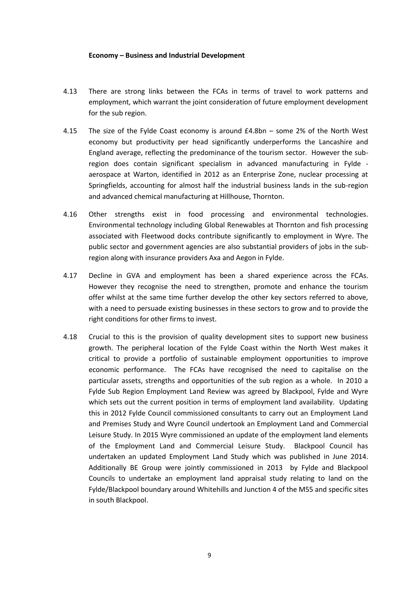#### **Economy – Business and Industrial Development**

- 4.13 There are strong links between the FCAs in terms of travel to work patterns and employment, which warrant the joint consideration of future employment development for the sub region.
- 4.15 The size of the Fylde Coast economy is around £4.8bn some 2% of the North West economy but productivity per head significantly underperforms the Lancashire and England average, reflecting the predominance of the tourism sector. However the subregion does contain significant specialism in advanced manufacturing in Fylde aerospace at Warton, identified in 2012 as an Enterprise Zone, nuclear processing at Springfields, accounting for almost half the industrial business lands in the sub-region and advanced chemical manufacturing at Hillhouse, Thornton.
- 4.16 Other strengths exist in food processing and environmental technologies. Environmental technology including Global Renewables at Thornton and fish processing associated with Fleetwood docks contribute significantly to employment in Wyre. The public sector and government agencies are also substantial providers of jobs in the subregion along with insurance providers Axa and Aegon in Fylde.
- 4.17 Decline in GVA and employment has been a shared experience across the FCAs. However they recognise the need to strengthen, promote and enhance the tourism offer whilst at the same time further develop the other key sectors referred to above, with a need to persuade existing businesses in these sectors to grow and to provide the right conditions for other firms to invest.
- 4.18 Crucial to this is the provision of quality development sites to support new business growth. The peripheral location of the Fylde Coast within the North West makes it critical to provide a portfolio of sustainable employment opportunities to improve economic performance. The FCAs have recognised the need to capitalise on the particular assets, strengths and opportunities of the sub region as a whole. In 2010 a Fylde Sub Region Employment Land Review was agreed by Blackpool, Fylde and Wyre which sets out the current position in terms of employment land availability. Updating this in 2012 Fylde Council commissioned consultants to carry out an Employment Land and Premises Study and Wyre Council undertook an Employment Land and Commercial Leisure Study. In 2015 Wyre commissioned an update of the employment land elements of the Employment Land and Commercial Leisure Study. Blackpool Council has undertaken an updated Employment Land Study which was published in June 2014. Additionally BE Group were jointly commissioned in 2013 by Fylde and Blackpool Councils to undertake an employment land appraisal study relating to land on the Fylde/Blackpool boundary around Whitehills and Junction 4 of the M55 and specific sites in south Blackpool.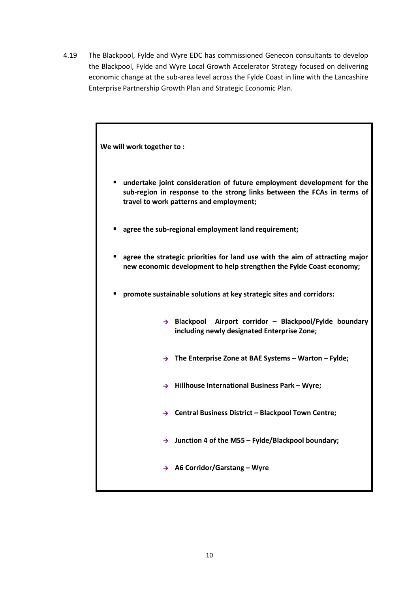4.19 The Blackpool, Fylde and Wyre EDC has commissioned Genecon consultants to develop the Blackpool, Fylde and Wyre Local Growth Accelerator Strategy focused on delivering economic change at the sub-area level across the Fylde Coast in line with the Lancashire Enterprise Partnership Growth Plan and Strategic Economic Plan.

| We will work together to:                                                                                                                                                                         |  |  |
|---------------------------------------------------------------------------------------------------------------------------------------------------------------------------------------------------|--|--|
| undertake joint consideration of future employment development for the<br>٠<br>sub-region in response to the strong links between the FCAs in terms of<br>travel to work patterns and employment; |  |  |
| agree the sub-regional employment land requirement;                                                                                                                                               |  |  |
| agree the strategic priorities for land use with the aim of attracting major<br>п<br>new economic development to help strengthen the Fylde Coast economy;                                         |  |  |
| promote sustainable solutions at key strategic sites and corridors:<br>п                                                                                                                          |  |  |
| Blackpool Airport corridor - Blackpool/Fylde boundary<br>$\rightarrow$<br>including newly designated Enterprise Zone;                                                                             |  |  |
| $\rightarrow$ The Enterprise Zone at BAE Systems – Warton – Fylde;                                                                                                                                |  |  |
| Hillhouse International Business Park - Wyre;<br>$\rightarrow$                                                                                                                                    |  |  |
| $\rightarrow$ Central Business District - Blackpool Town Centre;                                                                                                                                  |  |  |
| $\rightarrow$ Junction 4 of the M55 - Fylde/Blackpool boundary;                                                                                                                                   |  |  |
| $\rightarrow$ A6 Corridor/Garstang - Wyre                                                                                                                                                         |  |  |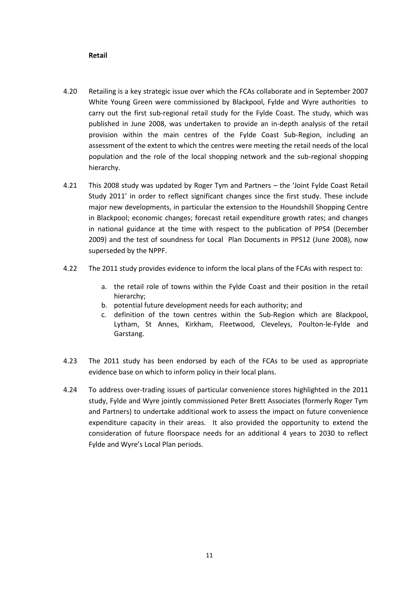#### **Retail**

- 4.20 Retailing is a key strategic issue over which the FCAs collaborate and in September 2007 White Young Green were commissioned by Blackpool, Fylde and Wyre authorities to carry out the first sub-regional retail study for the Fylde Coast. The study, which was published in June 2008, was undertaken to provide an in-depth analysis of the retail provision within the main centres of the Fylde Coast Sub-Region, including an assessment of the extent to which the centres were meeting the retail needs of the local population and the role of the local shopping network and the sub-regional shopping hierarchy.
- 4.21 This 2008 study was updated by Roger Tym and Partners the 'Joint Fylde Coast Retail Study 2011' in order to reflect significant changes since the first study. These include major new developments, in particular the extension to the Houndshill Shopping Centre in Blackpool; economic changes; forecast retail expenditure growth rates; and changes in national guidance at the time with respect to the publication of PPS4 (December 2009) and the test of soundness for Local Plan Documents in PPS12 (June 2008), now superseded by the NPPF.
- 4.22 The 2011 study provides evidence to inform the local plans of the FCAs with respect to:
	- a. the retail role of towns within the Fylde Coast and their position in the retail hierarchy;
	- b. potential future development needs for each authority; and
	- c. definition of the town centres within the Sub-Region which are Blackpool, Lytham, St Annes, Kirkham, Fleetwood, Cleveleys, Poulton-le-Fylde and Garstang.
- 4.23 The 2011 study has been endorsed by each of the FCAs to be used as appropriate evidence base on which to inform policy in their local plans.
- 4.24 To address over-trading issues of particular convenience stores highlighted in the 2011 study, Fylde and Wyre jointly commissioned Peter Brett Associates (formerly Roger Tym and Partners) to undertake additional work to assess the impact on future convenience expenditure capacity in their areas. It also provided the opportunity to extend the consideration of future floorspace needs for an additional 4 years to 2030 to reflect Fylde and Wyre's Local Plan periods.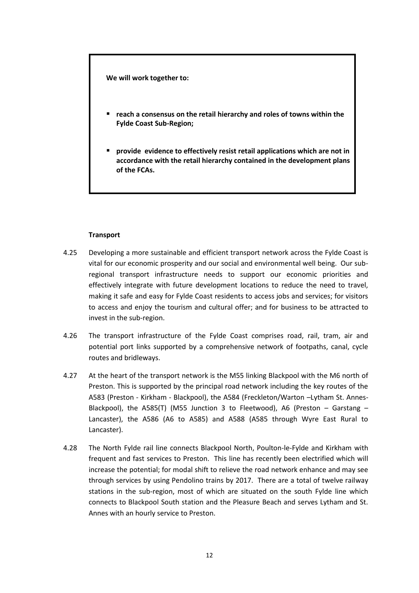- **reach a consensus on the retail hierarchy and roles of towns within the Fylde Coast Sub-Region;**
- **provide evidence to effectively resist retail applications which are not in accordance with the retail hierarchy contained in the development plans of the FCAs.**

#### **Transport**

- 4.25 Developing a more sustainable and efficient transport network across the Fylde Coast is vital for our economic prosperity and our social and environmental well being. Our subregional transport infrastructure needs to support our economic priorities and effectively integrate with future development locations to reduce the need to travel, making it safe and easy for Fylde Coast residents to access jobs and services; for visitors to access and enjoy the tourism and cultural offer; and for business to be attracted to invest in the sub-region.
- 4.26 The transport infrastructure of the Fylde Coast comprises road, rail, tram, air and potential port links supported by a comprehensive network of footpaths, canal, cycle routes and bridleways.
- 4.27 At the heart of the transport network is the M55 linking Blackpool with the M6 north of Preston. This is supported by the principal road network including the key routes of the A583 (Preston - Kirkham - Blackpool), the A584 (Freckleton/Warton –Lytham St. Annes-Blackpool), the A585(T) (M55 Junction 3 to Fleetwood), A6 (Preston – Garstang – Lancaster), the A586 (A6 to A585) and A588 (A585 through Wyre East Rural to Lancaster).
- 4.28 The North Fylde rail line connects Blackpool North, Poulton-le-Fylde and Kirkham with frequent and fast services to Preston. This line has recently been electrified which will increase the potential; for modal shift to relieve the road network enhance and may see through services by using Pendolino trains by 2017. There are a total of twelve railway stations in the sub-region, most of which are situated on the south Fylde line which connects to Blackpool South station and the Pleasure Beach and serves Lytham and St. Annes with an hourly service to Preston.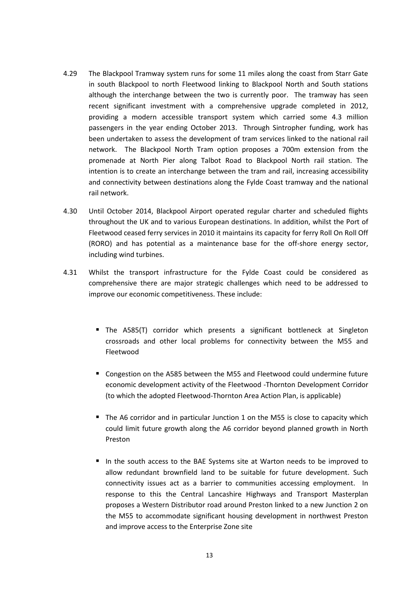- 4.29 The Blackpool Tramway system runs for some 11 miles along the coast from Starr Gate in south Blackpool to north Fleetwood linking to Blackpool North and South stations although the interchange between the two is currently poor. The tramway has seen recent significant investment with a comprehensive upgrade completed in 2012, providing a modern accessible transport system which carried some 4.3 million passengers in the year ending October 2013. Through Sintropher funding, work has been undertaken to assess the development of tram services linked to the national rail network. The Blackpool North Tram option proposes a 700m extension from the promenade at North Pier along Talbot Road to Blackpool North rail station. The intention is to create an interchange between the tram and rail, increasing accessibility and connectivity between destinations along the Fylde Coast tramway and the national rail network.
- 4.30 Until October 2014, Blackpool Airport operated regular charter and scheduled flights throughout the UK and to various European destinations. In addition, whilst the Port of Fleetwood ceased ferry services in 2010 it maintains its capacity for ferry Roll On Roll Off (RORO) and has potential as a maintenance base for the off-shore energy sector, including wind turbines.
- 4.31 Whilst the transport infrastructure for the Fylde Coast could be considered as comprehensive there are major strategic challenges which need to be addressed to improve our economic competitiveness. These include:
	- The A585(T) corridor which presents a significant bottleneck at Singleton crossroads and other local problems for connectivity between the M55 and Fleetwood
	- Congestion on the A585 between the M55 and Fleetwood could undermine future economic development activity of the Fleetwood -Thornton Development Corridor (to which the adopted Fleetwood-Thornton Area Action Plan, is applicable)
	- The A6 corridor and in particular Junction 1 on the M55 is close to capacity which could limit future growth along the A6 corridor beyond planned growth in North Preston
	- In the south access to the BAE Systems site at Warton needs to be improved to allow redundant brownfield land to be suitable for future development. Such connectivity issues act as a barrier to communities accessing employment. In response to this the Central Lancashire Highways and Transport Masterplan proposes a Western Distributor road around Preston linked to a new Junction 2 on the M55 to accommodate significant housing development in northwest Preston and improve access to the Enterprise Zone site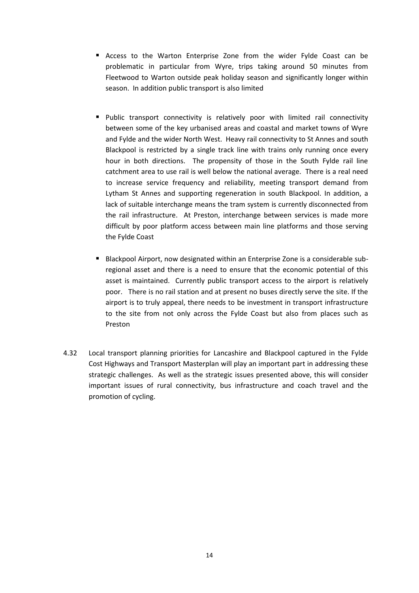- Access to the Warton Enterprise Zone from the wider Fylde Coast can be problematic in particular from Wyre, trips taking around 50 minutes from Fleetwood to Warton outside peak holiday season and significantly longer within season. In addition public transport is also limited
- **Public transport connectivity is relatively poor with limited rail connectivity** between some of the key urbanised areas and coastal and market towns of Wyre and Fylde and the wider North West. Heavy rail connectivity to St Annes and south Blackpool is restricted by a single track line with trains only running once every hour in both directions. The propensity of those in the South Fylde rail line catchment area to use rail is well below the national average. There is a real need to increase service frequency and reliability, meeting transport demand from Lytham St Annes and supporting regeneration in south Blackpool. In addition, a lack of suitable interchange means the tram system is currently disconnected from the rail infrastructure. At Preston, interchange between services is made more difficult by poor platform access between main line platforms and those serving the Fylde Coast
- Blackpool Airport, now designated within an Enterprise Zone is a considerable subregional asset and there is a need to ensure that the economic potential of this asset is maintained. Currently public transport access to the airport is relatively poor. There is no rail station and at present no buses directly serve the site. If the airport is to truly appeal, there needs to be investment in transport infrastructure to the site from not only across the Fylde Coast but also from places such as Preston
- 4.32 Local transport planning priorities for Lancashire and Blackpool captured in the Fylde Cost Highways and Transport Masterplan will play an important part in addressing these strategic challenges. As well as the strategic issues presented above, this will consider important issues of rural connectivity, bus infrastructure and coach travel and the promotion of cycling.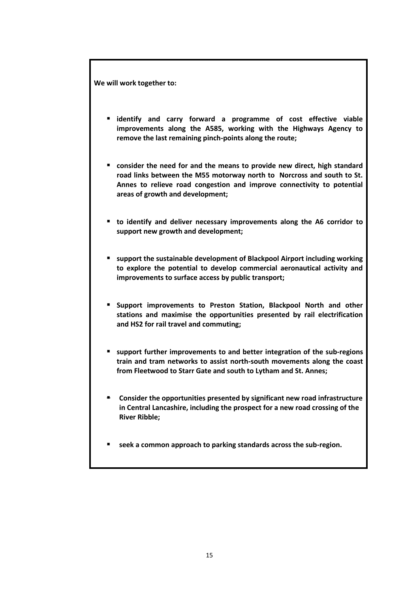- **identify and carry forward a programme of cost effective viable improvements along the A585, working with the Highways Agency to remove the last remaining pinch-points along the route;**
- **consider the need for and the means to provide new direct, high standard road links between the M55 motorway north to Norcross and south to St. Annes to relieve road congestion and improve connectivity to potential areas of growth and development;**
- **to identify and deliver necessary improvements along the A6 corridor to support new growth and development;**
- **support the sustainable development of Blackpool Airport including working to explore the potential to develop commercial aeronautical activity and improvements to surface access by public transport;**
- **Support improvements to Preston Station, Blackpool North and other stations and maximise the opportunities presented by rail electrification and HS2 for rail travel and commuting;**
- **support further improvements to and better integration of the sub-regions train and tram networks to assist north-south movements along the coast from Fleetwood to Starr Gate and south to Lytham and St. Annes;**
- **Consider the opportunities presented by significant new road infrastructure in Central Lancashire, including the prospect for a new road crossing of the River Ribble;**
- **seek a common approach to parking standards across the sub-region.**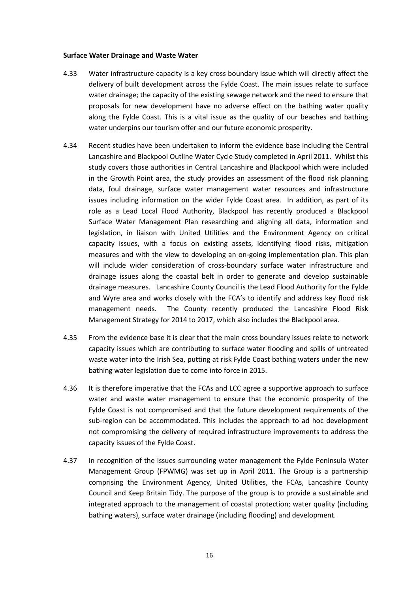#### **Surface Water Drainage and Waste Water**

- 4.33 Water infrastructure capacity is a key cross boundary issue which will directly affect the delivery of built development across the Fylde Coast. The main issues relate to surface water drainage; the capacity of the existing sewage network and the need to ensure that proposals for new development have no adverse effect on the bathing water quality along the Fylde Coast. This is a vital issue as the quality of our beaches and bathing water underpins our tourism offer and our future economic prosperity.
- 4.34 Recent studies have been undertaken to inform the evidence base including the Central Lancashire and Blackpool Outline Water Cycle Study completed in April 2011. Whilst this study covers those authorities in Central Lancashire and Blackpool which were included in the Growth Point area, the study provides an assessment of the flood risk planning data, foul drainage, surface water management water resources and infrastructure issues including information on the wider Fylde Coast area. In addition, as part of its role as a Lead Local Flood Authority, Blackpool has recently produced a Blackpool Surface Water Management Plan researching and aligning all data, information and legislation, in liaison with United Utilities and the Environment Agency on critical capacity issues, with a focus on existing assets, identifying flood risks, mitigation measures and with the view to developing an on-going implementation plan. This plan will include wider consideration of cross-boundary surface water infrastructure and drainage issues along the coastal belt in order to generate and develop sustainable drainage measures. Lancashire County Council is the Lead Flood Authority for the Fylde and Wyre area and works closely with the FCA's to identify and address key flood risk management needs. The County recently produced the Lancashire Flood Risk Management Strategy for 2014 to 2017, which also includes the Blackpool area.
- 4.35 From the evidence base it is clear that the main cross boundary issues relate to network capacity issues which are contributing to surface water flooding and spills of untreated waste water into the Irish Sea, putting at risk Fylde Coast bathing waters under the new bathing water legislation due to come into force in 2015.
- 4.36 It is therefore imperative that the FCAs and LCC agree a supportive approach to surface water and waste water management to ensure that the economic prosperity of the Fylde Coast is not compromised and that the future development requirements of the sub-region can be accommodated. This includes the approach to ad hoc development not compromising the delivery of required infrastructure improvements to address the capacity issues of the Fylde Coast.
- 4.37 In recognition of the issues surrounding water management the Fylde Peninsula Water Management Group (FPWMG) was set up in April 2011. The Group is a partnership comprising the Environment Agency, United Utilities, the FCAs, Lancashire County Council and Keep Britain Tidy. The purpose of the group is to provide a sustainable and integrated approach to the management of coastal protection; water quality (including bathing waters), surface water drainage (including flooding) and development.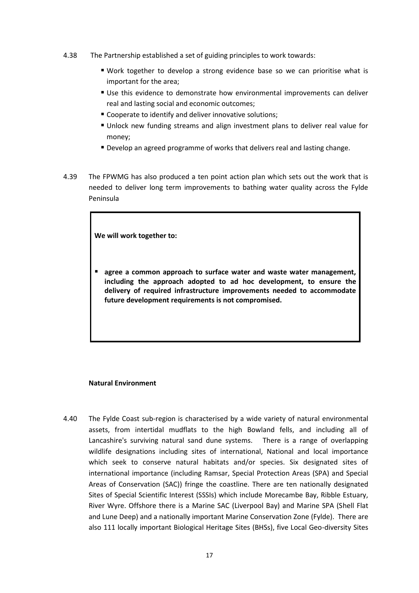- 4.38 The Partnership established a set of guiding principles to work towards:
	- Work together to develop a strong evidence base so we can prioritise what is important for the area;
	- Use this evidence to demonstrate how environmental improvements can deliver real and lasting social and economic outcomes;
	- Cooperate to identify and deliver innovative solutions;
	- Unlock new funding streams and align investment plans to deliver real value for money;
	- Develop an agreed programme of works that delivers real and lasting change.
- 4.39 The FPWMG has also produced a ten point action plan which sets out the work that is needed to deliver long term improvements to bathing water quality across the Fylde Peninsula

 **agree a common approach to surface water and waste water management, including the approach adopted to ad hoc development, to ensure the delivery of required infrastructure improvements needed to accommodate future development requirements is not compromised.** 

#### **Natural Environment**

4.40 The Fylde Coast sub-region is characterised by a wide variety of natural environmental assets, from intertidal mudflats to the high Bowland fells, and including all of Lancashire's surviving natural sand dune systems. There is a range of overlapping wildlife designations including sites of international, National and local importance which seek to conserve natural habitats and/or species. Six designated sites of international importance (including Ramsar, Special Protection Areas (SPA) and Special Areas of Conservation (SAC)) fringe the coastline. There are ten nationally designated Sites of Special Scientific Interest (SSSIs) which include Morecambe Bay, Ribble Estuary, River Wyre. Offshore there is a Marine SAC (Liverpool Bay) and Marine SPA (Shell Flat and Lune Deep) and a nationally important Marine Conservation Zone (Fylde). There are also 111 locally important Biological Heritage Sites (BHSs), five Local Geo-diversity Sites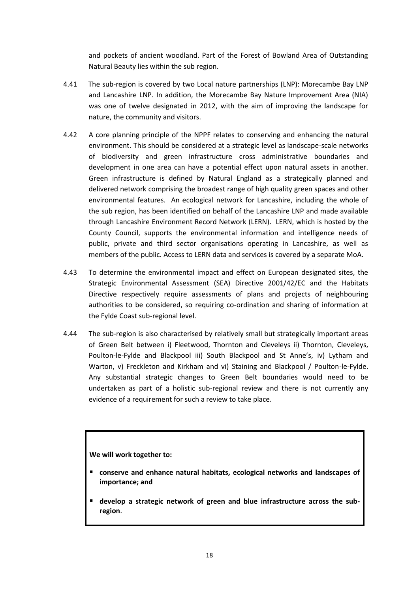and pockets of ancient woodland. Part of the Forest of Bowland Area of Outstanding Natural Beauty lies within the sub region.

- 4.41 The sub-region is covered by two Local nature partnerships (LNP): Morecambe Bay LNP and Lancashire LNP. In addition, the Morecambe Bay Nature Improvement Area (NIA) was one of twelve designated in 2012, with the aim of improving the landscape for nature, the community and visitors.
- 4.42 A core planning principle of the NPPF relates to conserving and enhancing the natural environment. This should be considered at a strategic level as landscape-scale networks of biodiversity and green infrastructure cross administrative boundaries and development in one area can have a potential effect upon natural assets in another. Green infrastructure is defined by Natural England as a strategically planned and delivered network comprising the broadest range of high quality green spaces and other environmental features. An ecological network for Lancashire, including the whole of the sub region, has been identified on behalf of the Lancashire LNP and made available through Lancashire Environment Record Network (LERN). LERN, which is hosted by the County Council, supports the environmental information and intelligence needs of public, private and third sector organisations operating in Lancashire, as well as members of the public. Access to LERN data and services is covered by a separate MoA.
- 4.43 To determine the environmental impact and effect on European designated sites, the Strategic Environmental Assessment (SEA) Directive 2001/42/EC and the Habitats Directive respectively require assessments of plans and projects of neighbouring authorities to be considered, so requiring co-ordination and sharing of information at the Fylde Coast sub-regional level.
- 4.44 The sub-region is also characterised by relatively small but strategically important areas of Green Belt between i) Fleetwood, Thornton and Cleveleys ii) Thornton, Cleveleys, Poulton-le-Fylde and Blackpool iii) South Blackpool and St Anne's, iv) Lytham and Warton, v) Freckleton and Kirkham and vi) Staining and Blackpool / Poulton-le-Fylde. Any substantial strategic changes to Green Belt boundaries would need to be undertaken as part of a holistic sub-regional review and there is not currently any evidence of a requirement for such a review to take place.

#### **We will work together to:**

- **conserve and enhance natural habitats, ecological networks and landscapes of importance; and**
- **develop a strategic network of green and blue infrastructure across the subregion**.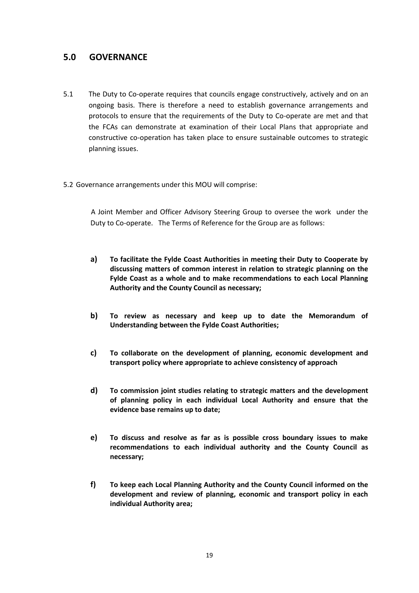### **5.0 GOVERNANCE**

- 5.1 The Duty to Co-operate requires that councils engage constructively, actively and on an ongoing basis. There is therefore a need to establish governance arrangements and protocols to ensure that the requirements of the Duty to Co-operate are met and that the FCAs can demonstrate at examination of their Local Plans that appropriate and constructive co-operation has taken place to ensure sustainable outcomes to strategic planning issues.
- 5.2 Governance arrangements under this MOU will comprise:

 A Joint Member and Officer Advisory Steering Group to oversee the work under the Duty to Co-operate. The Terms of Reference for the Group are as follows:

- **a) To facilitate the Fylde Coast Authorities in meeting their Duty to Cooperate by discussing matters of common interest in relation to strategic planning on the Fylde Coast as a whole and to make recommendations to each Local Planning Authority and the County Council as necessary;**
- **b) To review as necessary and keep up to date the Memorandum of Understanding between the Fylde Coast Authorities;**
- **c) To collaborate on the development of planning, economic development and transport policy where appropriate to achieve consistency of approach**
- **d) To commission joint studies relating to strategic matters and the development of planning policy in each individual Local Authority and ensure that the evidence base remains up to date;**
- **e) To discuss and resolve as far as is possible cross boundary issues to make recommendations to each individual authority and the County Council as necessary;**
- **f) To keep each Local Planning Authority and the County Council informed on the development and review of planning, economic and transport policy in each individual Authority area;**